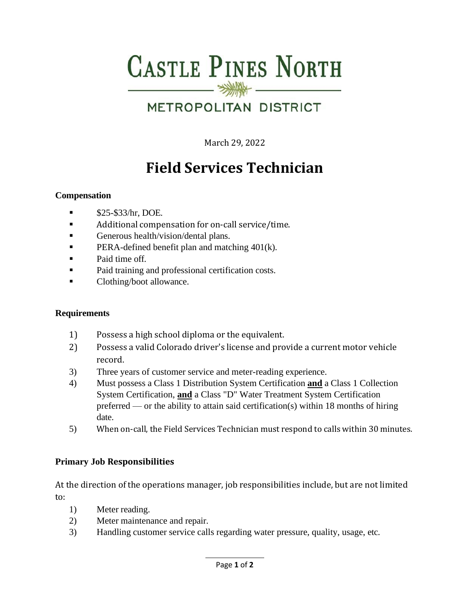# **CASTLE PINES NORTH**  $\frac{1}{\frac{1}{\sqrt{2}}\left(1+\frac{1}{\sqrt{2}}\right)}\frac{1}{\sqrt{2}}\frac{1}{\sqrt{2}}\frac{1}{\sqrt{2}}\frac{1}{\sqrt{2}}\frac{1}{\sqrt{2}}\frac{1}{\sqrt{2}}\frac{1}{\sqrt{2}}\frac{1}{\sqrt{2}}\frac{1}{\sqrt{2}}\frac{1}{\sqrt{2}}\frac{1}{\sqrt{2}}\frac{1}{\sqrt{2}}\frac{1}{\sqrt{2}}\frac{1}{\sqrt{2}}\frac{1}{\sqrt{2}}\frac{1}{\sqrt{2}}\frac{1}{\sqrt{2}}\frac{1}{\sqrt{2}}\frac{1}{\sqrt{$

## METROPOLITAN DISTRICT

March 29, 2022

# **Field Services Technician**

#### **Compensation**

- $\blacksquare$  \$25-\$33/hr, DOE.
- Additional compensation for on-call service/time.
- **•** Generous health/vision/dental plans.
- **PERA-defined benefit plan and matching 401(k).**
- Paid time off.
- Paid training and professional certification costs.
- Clothing/boot allowance.

#### **Requirements**

- 1) Possess a high school diploma or the equivalent.
- 2) Possess a valid Colorado driver's license and provide a current motor vehicle record.
- 3) Three years of customer service and meter-reading experience.
- 4) Must possess a Class 1 Distribution System Certification **and** a Class 1 Collection System Certification, **and** a Class "D" Water Treatment System Certification preferred — or the ability to attain said certification(s) within 18 months of hiring date.
- 5) When on-call, the Field Services Technician must respond to calls within 30 minutes.

#### **Primary Job Responsibilities**

At the direction of the operations manager, job responsibilities include, but are not limited to:

- 1) Meter reading.
- 2) Meter maintenance and repair.
- 3) Handling customer service calls regarding water pressure, quality, usage, etc.